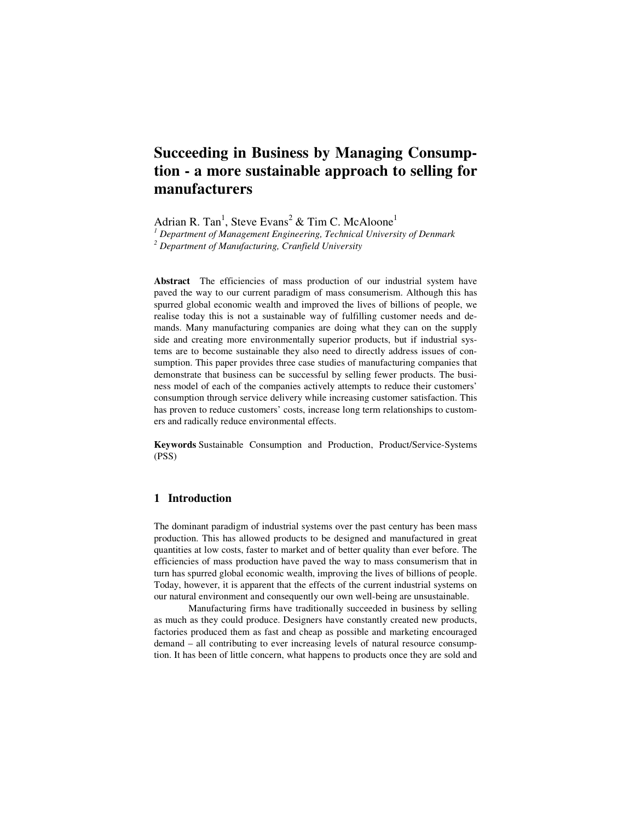# **Succeeding in Business by Managing Consumption - a more sustainable approach to selling for manufacturers**

Adrian R. Tan<sup>1</sup>, Steve Evans<sup>2</sup> & Tim C. McAloone<sup>1</sup>

*1 Department of Management Engineering, Technical University of Denmark* 

*2 Department of Manufacturing, Cranfield University* 

**Abstract** The efficiencies of mass production of our industrial system have paved the way to our current paradigm of mass consumerism. Although this has spurred global economic wealth and improved the lives of billions of people, we realise today this is not a sustainable way of fulfilling customer needs and demands. Many manufacturing companies are doing what they can on the supply side and creating more environmentally superior products, but if industrial systems are to become sustainable they also need to directly address issues of consumption. This paper provides three case studies of manufacturing companies that demonstrate that business can be successful by selling fewer products. The business model of each of the companies actively attempts to reduce their customers' consumption through service delivery while increasing customer satisfaction. This has proven to reduce customers' costs, increase long term relationships to customers and radically reduce environmental effects.

**Keywords** Sustainable Consumption and Production, Product/Service-Systems (PSS)

# **1 Introduction**

The dominant paradigm of industrial systems over the past century has been mass production. This has allowed products to be designed and manufactured in great quantities at low costs, faster to market and of better quality than ever before. The efficiencies of mass production have paved the way to mass consumerism that in turn has spurred global economic wealth, improving the lives of billions of people. Today, however, it is apparent that the effects of the current industrial systems on our natural environment and consequently our own well-being are unsustainable.

Manufacturing firms have traditionally succeeded in business by selling as much as they could produce. Designers have constantly created new products, factories produced them as fast and cheap as possible and marketing encouraged demand – all contributing to ever increasing levels of natural resource consumption. It has been of little concern, what happens to products once they are sold and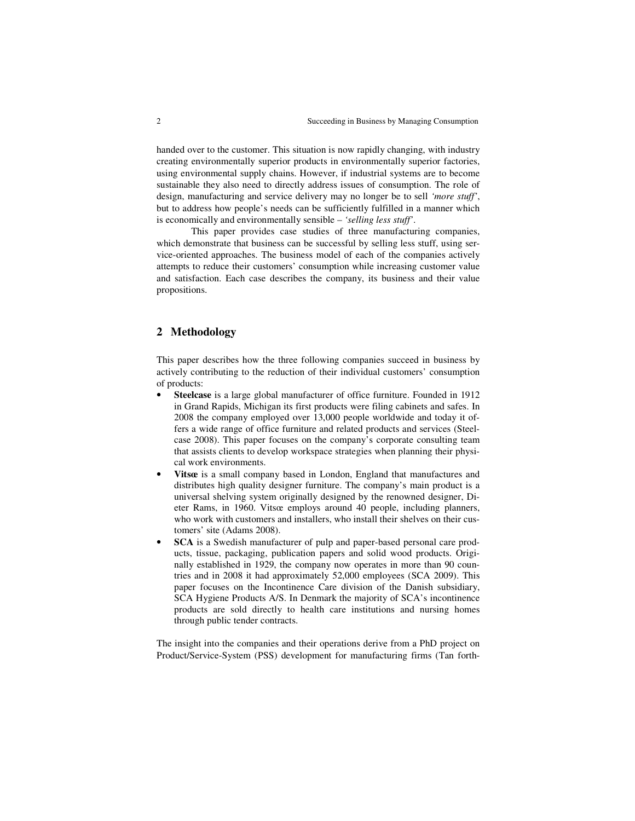handed over to the customer. This situation is now rapidly changing, with industry creating environmentally superior products in environmentally superior factories, using environmental supply chains. However, if industrial systems are to become sustainable they also need to directly address issues of consumption. The role of design, manufacturing and service delivery may no longer be to sell *'more stuff'*, but to address how people's needs can be sufficiently fulfilled in a manner which is economically and environmentally sensible – *'selling less stuff'*.

This paper provides case studies of three manufacturing companies, which demonstrate that business can be successful by selling less stuff, using service-oriented approaches. The business model of each of the companies actively attempts to reduce their customers' consumption while increasing customer value and satisfaction. Each case describes the company, its business and their value propositions.

# **2 Methodology**

This paper describes how the three following companies succeed in business by actively contributing to the reduction of their individual customers' consumption of products:

- **Steelcase** is a large global manufacturer of office furniture. Founded in 1912 in Grand Rapids, Michigan its first products were filing cabinets and safes. In 2008 the company employed over 13,000 people worldwide and today it offers a wide range of office furniture and related products and services (Steelcase 2008). This paper focuses on the company's corporate consulting team that assists clients to develop workspace strategies when planning their physical work environments.
- **Vitsœ** is a small company based in London, England that manufactures and distributes high quality designer furniture. The company's main product is a universal shelving system originally designed by the renowned designer, Dieter Rams, in 1960. Vitsœ employs around 40 people, including planners, who work with customers and installers, who install their shelves on their customers' site (Adams 2008).
- **SCA** is a Swedish manufacturer of pulp and paper-based personal care products, tissue, packaging, publication papers and solid wood products. Originally established in 1929, the company now operates in more than 90 countries and in 2008 it had approximately 52,000 employees (SCA 2009). This paper focuses on the Incontinence Care division of the Danish subsidiary, SCA Hygiene Products A/S. In Denmark the majority of SCA's incontinence products are sold directly to health care institutions and nursing homes through public tender contracts.

The insight into the companies and their operations derive from a PhD project on Product/Service-System (PSS) development for manufacturing firms (Tan forth-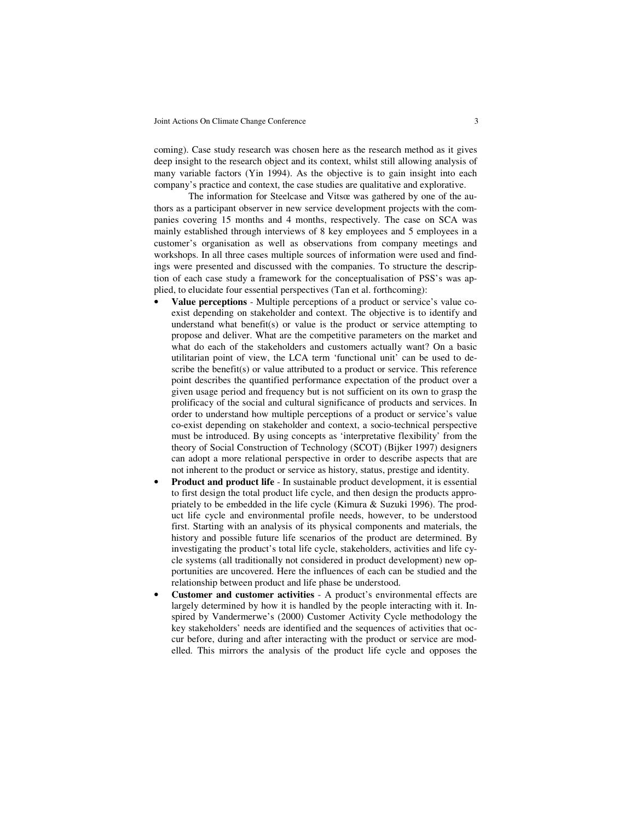coming). Case study research was chosen here as the research method as it gives deep insight to the research object and its context, whilst still allowing analysis of many variable factors (Yin 1994). As the objective is to gain insight into each company's practice and context, the case studies are qualitative and explorative.

The information for Steelcase and Vitsœ was gathered by one of the authors as a participant observer in new service development projects with the companies covering 15 months and 4 months, respectively. The case on SCA was mainly established through interviews of 8 key employees and 5 employees in a customer's organisation as well as observations from company meetings and workshops. In all three cases multiple sources of information were used and findings were presented and discussed with the companies. To structure the description of each case study a framework for the conceptualisation of PSS's was applied, to elucidate four essential perspectives (Tan et al. forthcoming):

- **Value perceptions** Multiple perceptions of a product or service's value coexist depending on stakeholder and context. The objective is to identify and understand what benefit(s) or value is the product or service attempting to propose and deliver. What are the competitive parameters on the market and what do each of the stakeholders and customers actually want? On a basic utilitarian point of view, the LCA term 'functional unit' can be used to describe the benefit(s) or value attributed to a product or service. This reference point describes the quantified performance expectation of the product over a given usage period and frequency but is not sufficient on its own to grasp the prolificacy of the social and cultural significance of products and services. In order to understand how multiple perceptions of a product or service's value co-exist depending on stakeholder and context, a socio-technical perspective must be introduced. By using concepts as 'interpretative flexibility' from the theory of Social Construction of Technology (SCOT) (Bijker 1997) designers can adopt a more relational perspective in order to describe aspects that are not inherent to the product or service as history, status, prestige and identity.
- **Product and product life** In sustainable product development, it is essential to first design the total product life cycle, and then design the products appropriately to be embedded in the life cycle (Kimura & Suzuki 1996). The product life cycle and environmental profile needs, however, to be understood first. Starting with an analysis of its physical components and materials, the history and possible future life scenarios of the product are determined. By investigating the product's total life cycle, stakeholders, activities and life cycle systems (all traditionally not considered in product development) new opportunities are uncovered. Here the influences of each can be studied and the relationship between product and life phase be understood.
- **Customer and customer activities** A product's environmental effects are largely determined by how it is handled by the people interacting with it. Inspired by Vandermerwe's (2000) Customer Activity Cycle methodology the key stakeholders' needs are identified and the sequences of activities that occur before, during and after interacting with the product or service are modelled. This mirrors the analysis of the product life cycle and opposes the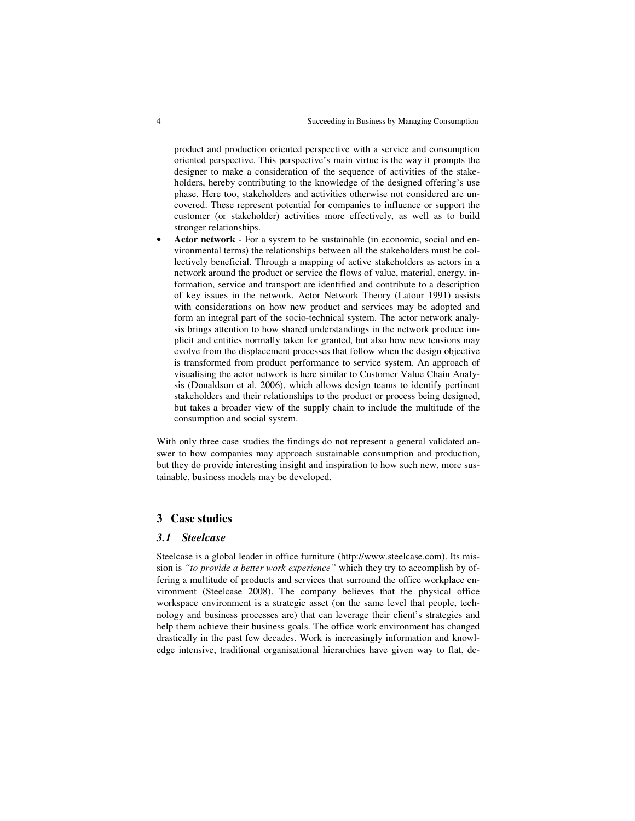product and production oriented perspective with a service and consumption oriented perspective. This perspective's main virtue is the way it prompts the designer to make a consideration of the sequence of activities of the stakeholders, hereby contributing to the knowledge of the designed offering's use phase. Here too, stakeholders and activities otherwise not considered are uncovered. These represent potential for companies to influence or support the customer (or stakeholder) activities more effectively, as well as to build stronger relationships.

• **Actor network** - For a system to be sustainable (in economic, social and environmental terms) the relationships between all the stakeholders must be collectively beneficial. Through a mapping of active stakeholders as actors in a network around the product or service the flows of value, material, energy, information, service and transport are identified and contribute to a description of key issues in the network. Actor Network Theory (Latour 1991) assists with considerations on how new product and services may be adopted and form an integral part of the socio-technical system. The actor network analysis brings attention to how shared understandings in the network produce implicit and entities normally taken for granted, but also how new tensions may evolve from the displacement processes that follow when the design objective is transformed from product performance to service system. An approach of visualising the actor network is here similar to Customer Value Chain Analysis (Donaldson et al. 2006), which allows design teams to identify pertinent stakeholders and their relationships to the product or process being designed, but takes a broader view of the supply chain to include the multitude of the consumption and social system.

With only three case studies the findings do not represent a general validated answer to how companies may approach sustainable consumption and production, but they do provide interesting insight and inspiration to how such new, more sustainable, business models may be developed.

## **3 Case studies**

#### *3.1 Steelcase*

Steelcase is a global leader in office furniture (http://www.steelcase.com). Its mission is *"to provide a better work experience"* which they try to accomplish by offering a multitude of products and services that surround the office workplace environment (Steelcase 2008). The company believes that the physical office workspace environment is a strategic asset (on the same level that people, technology and business processes are) that can leverage their client's strategies and help them achieve their business goals. The office work environment has changed drastically in the past few decades. Work is increasingly information and knowledge intensive, traditional organisational hierarchies have given way to flat, de-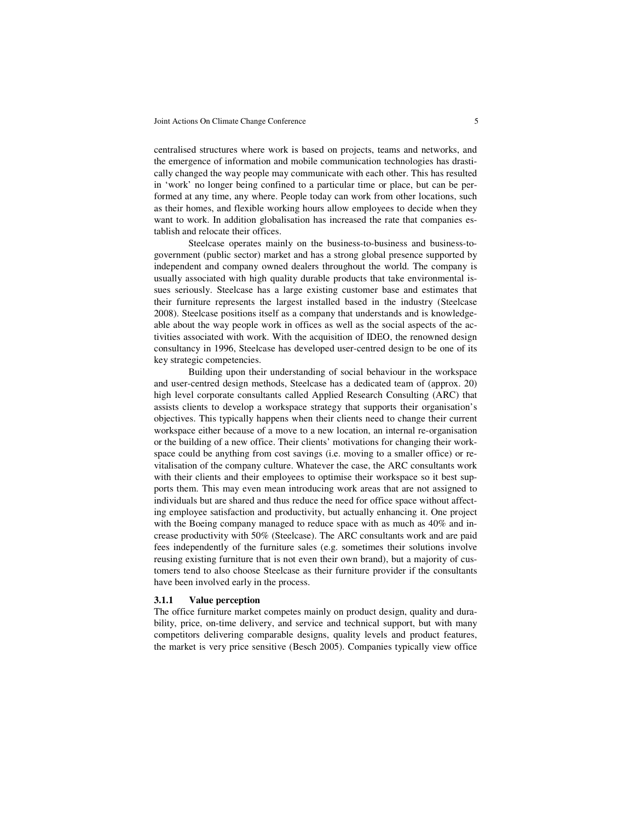centralised structures where work is based on projects, teams and networks, and the emergence of information and mobile communication technologies has drastically changed the way people may communicate with each other. This has resulted in 'work' no longer being confined to a particular time or place, but can be performed at any time, any where. People today can work from other locations, such as their homes, and flexible working hours allow employees to decide when they want to work. In addition globalisation has increased the rate that companies establish and relocate their offices.

Steelcase operates mainly on the business-to-business and business-togovernment (public sector) market and has a strong global presence supported by independent and company owned dealers throughout the world. The company is usually associated with high quality durable products that take environmental issues seriously. Steelcase has a large existing customer base and estimates that their furniture represents the largest installed based in the industry (Steelcase 2008). Steelcase positions itself as a company that understands and is knowledgeable about the way people work in offices as well as the social aspects of the activities associated with work. With the acquisition of IDEO, the renowned design consultancy in 1996, Steelcase has developed user-centred design to be one of its key strategic competencies.

Building upon their understanding of social behaviour in the workspace and user-centred design methods, Steelcase has a dedicated team of (approx. 20) high level corporate consultants called Applied Research Consulting (ARC) that assists clients to develop a workspace strategy that supports their organisation's objectives. This typically happens when their clients need to change their current workspace either because of a move to a new location, an internal re-organisation or the building of a new office. Their clients' motivations for changing their workspace could be anything from cost savings (i.e. moving to a smaller office) or revitalisation of the company culture. Whatever the case, the ARC consultants work with their clients and their employees to optimise their workspace so it best supports them. This may even mean introducing work areas that are not assigned to individuals but are shared and thus reduce the need for office space without affecting employee satisfaction and productivity, but actually enhancing it. One project with the Boeing company managed to reduce space with as much as 40% and increase productivity with 50% (Steelcase). The ARC consultants work and are paid fees independently of the furniture sales (e.g. sometimes their solutions involve reusing existing furniture that is not even their own brand), but a majority of customers tend to also choose Steelcase as their furniture provider if the consultants have been involved early in the process.

## **3.1.1 Value perception**

The office furniture market competes mainly on product design, quality and durability, price, on-time delivery, and service and technical support, but with many competitors delivering comparable designs, quality levels and product features, the market is very price sensitive (Besch 2005). Companies typically view office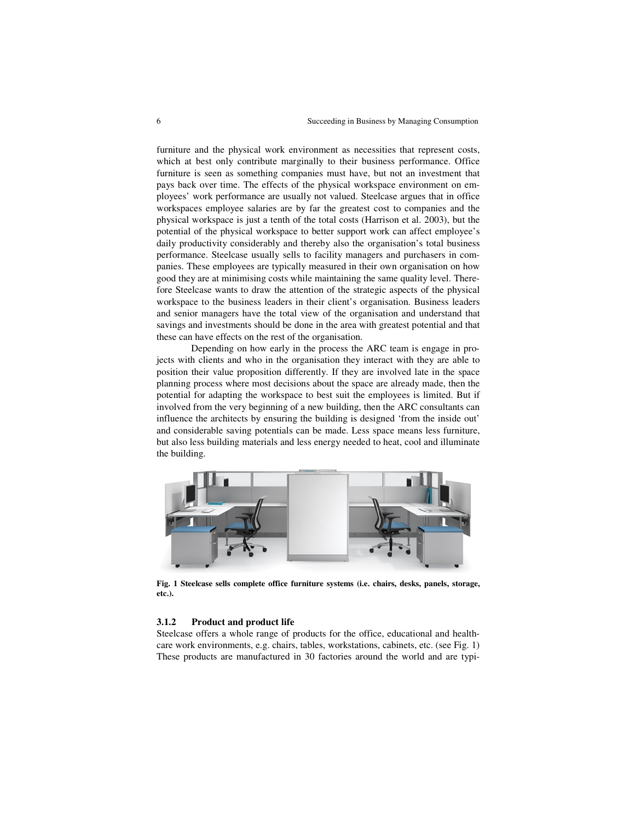furniture and the physical work environment as necessities that represent costs, which at best only contribute marginally to their business performance. Office furniture is seen as something companies must have, but not an investment that pays back over time. The effects of the physical workspace environment on employees' work performance are usually not valued. Steelcase argues that in office workspaces employee salaries are by far the greatest cost to companies and the physical workspace is just a tenth of the total costs (Harrison et al. 2003), but the potential of the physical workspace to better support work can affect employee's daily productivity considerably and thereby also the organisation's total business performance. Steelcase usually sells to facility managers and purchasers in companies. These employees are typically measured in their own organisation on how good they are at minimising costs while maintaining the same quality level. Therefore Steelcase wants to draw the attention of the strategic aspects of the physical workspace to the business leaders in their client's organisation. Business leaders and senior managers have the total view of the organisation and understand that savings and investments should be done in the area with greatest potential and that these can have effects on the rest of the organisation.

Depending on how early in the process the ARC team is engage in projects with clients and who in the organisation they interact with they are able to position their value proposition differently. If they are involved late in the space planning process where most decisions about the space are already made, then the potential for adapting the workspace to best suit the employees is limited. But if involved from the very beginning of a new building, then the ARC consultants can influence the architects by ensuring the building is designed 'from the inside out' and considerable saving potentials can be made. Less space means less furniture, but also less building materials and less energy needed to heat, cool and illuminate the building.



**Fig. 1 Steelcase sells complete office furniture systems (i.e. chairs, desks, panels, storage, etc.).** 

## **3.1.2 Product and product life**

Steelcase offers a whole range of products for the office, educational and healthcare work environments, e.g. chairs, tables, workstations, cabinets, etc. (see Fig. 1) These products are manufactured in 30 factories around the world and are typi-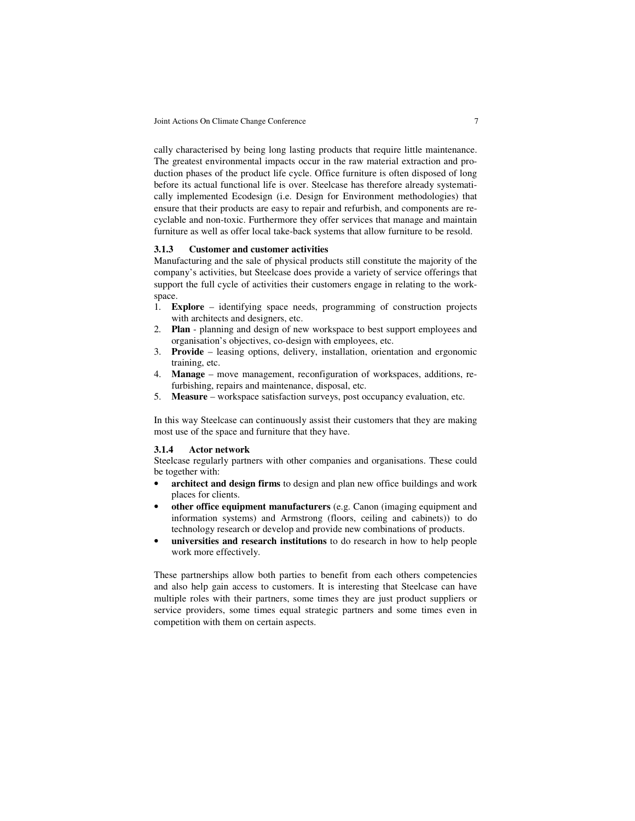cally characterised by being long lasting products that require little maintenance. The greatest environmental impacts occur in the raw material extraction and production phases of the product life cycle. Office furniture is often disposed of long before its actual functional life is over. Steelcase has therefore already systematically implemented Ecodesign (i.e. Design for Environment methodologies) that ensure that their products are easy to repair and refurbish, and components are recyclable and non-toxic. Furthermore they offer services that manage and maintain furniture as well as offer local take-back systems that allow furniture to be resold.

## **3.1.3 Customer and customer activities**

Manufacturing and the sale of physical products still constitute the majority of the company's activities, but Steelcase does provide a variety of service offerings that support the full cycle of activities their customers engage in relating to the workspace.

- 1. **Explore** identifying space needs, programming of construction projects with architects and designers, etc.
- 2. **Plan** planning and design of new workspace to best support employees and organisation's objectives, co-design with employees, etc.
- 3. **Provide** leasing options, delivery, installation, orientation and ergonomic training, etc.
- 4. **Manage** move management, reconfiguration of workspaces, additions, refurbishing, repairs and maintenance, disposal, etc.
- 5. **Measure** workspace satisfaction surveys, post occupancy evaluation, etc.

In this way Steelcase can continuously assist their customers that they are making most use of the space and furniture that they have.

#### **3.1.4 Actor network**

Steelcase regularly partners with other companies and organisations. These could be together with:

- architect and design firms to design and plan new office buildings and work places for clients.
- **other office equipment manufacturers** (e.g. Canon (imaging equipment and information systems) and Armstrong (floors, ceiling and cabinets)) to do technology research or develop and provide new combinations of products.
- **universities and research institutions** to do research in how to help people work more effectively.

These partnerships allow both parties to benefit from each others competencies and also help gain access to customers. It is interesting that Steelcase can have multiple roles with their partners, some times they are just product suppliers or service providers, some times equal strategic partners and some times even in competition with them on certain aspects.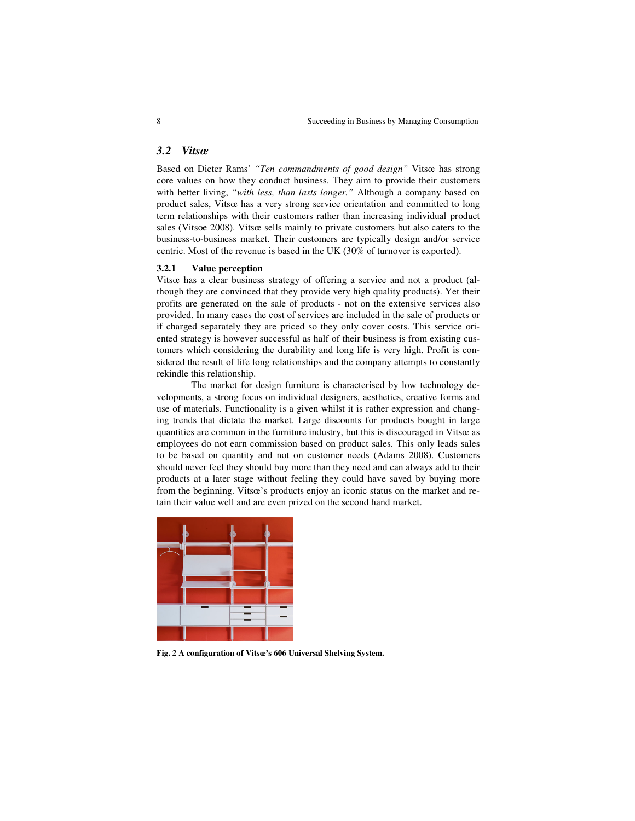## *3.2 Vitsœ*

Based on Dieter Rams' *"Ten commandments of good design"* Vitsœ has strong core values on how they conduct business. They aim to provide their customers with better living, *"with less, than lasts longer."* Although a company based on product sales, Vitsœ has a very strong service orientation and committed to long term relationships with their customers rather than increasing individual product sales (Vitsoe 2008). Vitsœ sells mainly to private customers but also caters to the business-to-business market. Their customers are typically design and/or service centric. Most of the revenue is based in the UK (30% of turnover is exported).

## **3.2.1 Value perception**

Vitsœ has a clear business strategy of offering a service and not a product (although they are convinced that they provide very high quality products). Yet their profits are generated on the sale of products - not on the extensive services also provided. In many cases the cost of services are included in the sale of products or if charged separately they are priced so they only cover costs. This service oriented strategy is however successful as half of their business is from existing customers which considering the durability and long life is very high. Profit is considered the result of life long relationships and the company attempts to constantly rekindle this relationship.

The market for design furniture is characterised by low technology developments, a strong focus on individual designers, aesthetics, creative forms and use of materials. Functionality is a given whilst it is rather expression and changing trends that dictate the market. Large discounts for products bought in large quantities are common in the furniture industry, but this is discouraged in Vitsœ as employees do not earn commission based on product sales. This only leads sales to be based on quantity and not on customer needs (Adams 2008). Customers should never feel they should buy more than they need and can always add to their products at a later stage without feeling they could have saved by buying more from the beginning. Vitsœ's products enjoy an iconic status on the market and retain their value well and are even prized on the second hand market.



**Fig. 2 A configuration of Vitsœ's 606 Universal Shelving System.**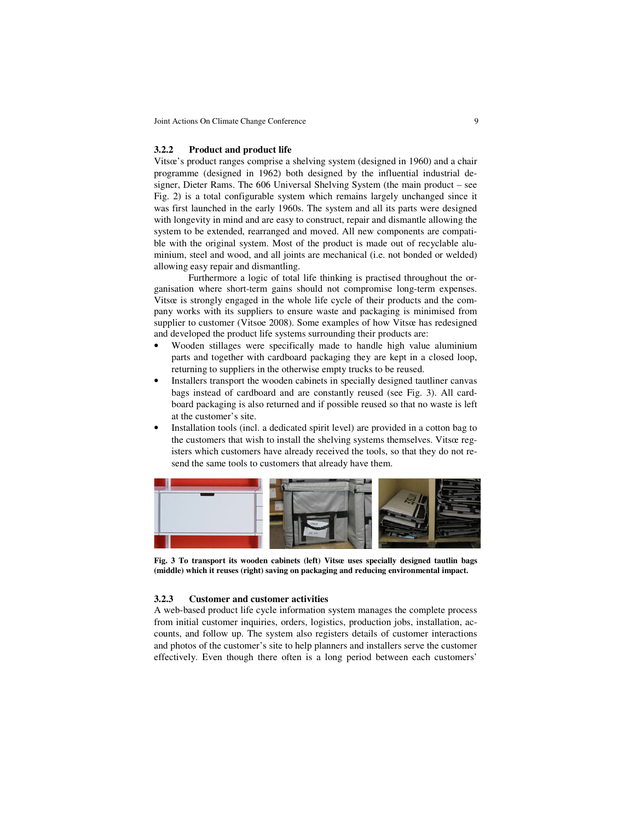#### **3.2.2 Product and product life**

Vitsœ's product ranges comprise a shelving system (designed in 1960) and a chair programme (designed in 1962) both designed by the influential industrial designer, Dieter Rams. The 606 Universal Shelving System (the main product – see Fig. 2) is a total configurable system which remains largely unchanged since it was first launched in the early 1960s. The system and all its parts were designed with longevity in mind and are easy to construct, repair and dismantle allowing the system to be extended, rearranged and moved. All new components are compatible with the original system. Most of the product is made out of recyclable aluminium, steel and wood, and all joints are mechanical (i.e. not bonded or welded) allowing easy repair and dismantling.

Furthermore a logic of total life thinking is practised throughout the organisation where short-term gains should not compromise long-term expenses. Vitsœ is strongly engaged in the whole life cycle of their products and the company works with its suppliers to ensure waste and packaging is minimised from supplier to customer (Vitsoe 2008). Some examples of how Vitsœ has redesigned and developed the product life systems surrounding their products are:

- Wooden stillages were specifically made to handle high value aluminium parts and together with cardboard packaging they are kept in a closed loop, returning to suppliers in the otherwise empty trucks to be reused.
- Installers transport the wooden cabinets in specially designed tautliner canvas bags instead of cardboard and are constantly reused (see Fig. 3). All cardboard packaging is also returned and if possible reused so that no waste is left at the customer's site.
- Installation tools (incl. a dedicated spirit level) are provided in a cotton bag to the customers that wish to install the shelving systems themselves. Vitsœ registers which customers have already received the tools, so that they do not resend the same tools to customers that already have them.



**Fig. 3 To transport its wooden cabinets (left) Vitsœ uses specially designed tautlin bags (middle) which it reuses (right) saving on packaging and reducing environmental impact.** 

## **3.2.3 Customer and customer activities**

A web-based product life cycle information system manages the complete process from initial customer inquiries, orders, logistics, production jobs, installation, accounts, and follow up. The system also registers details of customer interactions and photos of the customer's site to help planners and installers serve the customer effectively. Even though there often is a long period between each customers'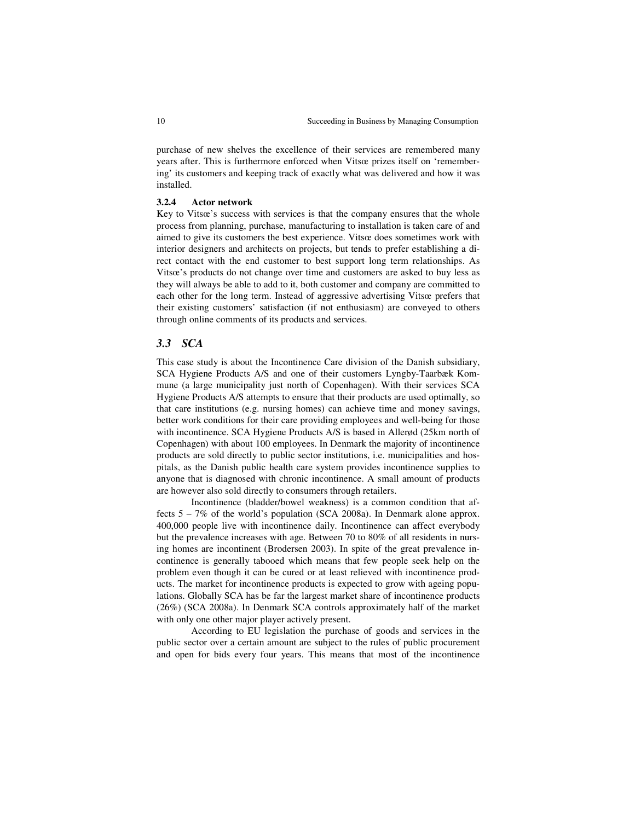purchase of new shelves the excellence of their services are remembered many years after. This is furthermore enforced when Vitsœ prizes itself on 'remembering' its customers and keeping track of exactly what was delivered and how it was installed.

## **3.2.4 Actor network**

Key to Vitsœ's success with services is that the company ensures that the whole process from planning, purchase, manufacturing to installation is taken care of and aimed to give its customers the best experience. Vitsœ does sometimes work with interior designers and architects on projects, but tends to prefer establishing a direct contact with the end customer to best support long term relationships. As Vitsœ's products do not change over time and customers are asked to buy less as they will always be able to add to it, both customer and company are committed to each other for the long term. Instead of aggressive advertising Vitsœ prefers that their existing customers' satisfaction (if not enthusiasm) are conveyed to others through online comments of its products and services.

## *3.3 SCA*

This case study is about the Incontinence Care division of the Danish subsidiary, SCA Hygiene Products A/S and one of their customers Lyngby-Taarbæk Kommune (a large municipality just north of Copenhagen). With their services SCA Hygiene Products A/S attempts to ensure that their products are used optimally, so that care institutions (e.g. nursing homes) can achieve time and money savings, better work conditions for their care providing employees and well-being for those with incontinence. SCA Hygiene Products A/S is based in Allerød (25km north of Copenhagen) with about 100 employees. In Denmark the majority of incontinence products are sold directly to public sector institutions, i.e. municipalities and hospitals, as the Danish public health care system provides incontinence supplies to anyone that is diagnosed with chronic incontinence. A small amount of products are however also sold directly to consumers through retailers.

Incontinence (bladder/bowel weakness) is a common condition that affects 5 – 7% of the world's population (SCA 2008a). In Denmark alone approx. 400,000 people live with incontinence daily. Incontinence can affect everybody but the prevalence increases with age. Between 70 to 80% of all residents in nursing homes are incontinent (Brodersen 2003). In spite of the great prevalence incontinence is generally tabooed which means that few people seek help on the problem even though it can be cured or at least relieved with incontinence products. The market for incontinence products is expected to grow with ageing populations. Globally SCA has be far the largest market share of incontinence products (26%) (SCA 2008a). In Denmark SCA controls approximately half of the market with only one other major player actively present.

According to EU legislation the purchase of goods and services in the public sector over a certain amount are subject to the rules of public procurement and open for bids every four years. This means that most of the incontinence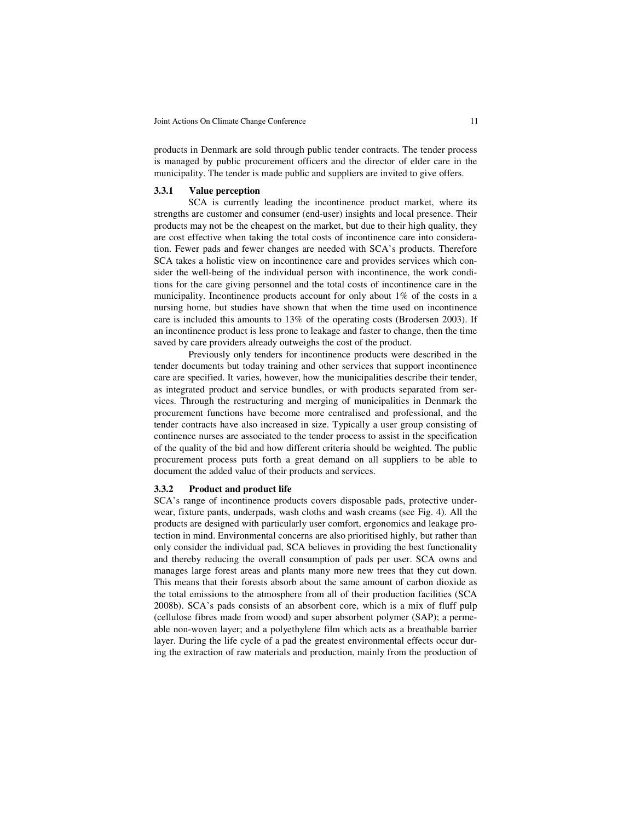products in Denmark are sold through public tender contracts. The tender process is managed by public procurement officers and the director of elder care in the municipality. The tender is made public and suppliers are invited to give offers.

#### **3.3.1 Value perception**

SCA is currently leading the incontinence product market, where its strengths are customer and consumer (end-user) insights and local presence. Their products may not be the cheapest on the market, but due to their high quality, they are cost effective when taking the total costs of incontinence care into consideration. Fewer pads and fewer changes are needed with SCA's products. Therefore SCA takes a holistic view on incontinence care and provides services which consider the well-being of the individual person with incontinence, the work conditions for the care giving personnel and the total costs of incontinence care in the municipality. Incontinence products account for only about 1% of the costs in a nursing home, but studies have shown that when the time used on incontinence care is included this amounts to 13% of the operating costs (Brodersen 2003). If an incontinence product is less prone to leakage and faster to change, then the time saved by care providers already outweighs the cost of the product.

Previously only tenders for incontinence products were described in the tender documents but today training and other services that support incontinence care are specified. It varies, however, how the municipalities describe their tender, as integrated product and service bundles, or with products separated from services. Through the restructuring and merging of municipalities in Denmark the procurement functions have become more centralised and professional, and the tender contracts have also increased in size. Typically a user group consisting of continence nurses are associated to the tender process to assist in the specification of the quality of the bid and how different criteria should be weighted. The public procurement process puts forth a great demand on all suppliers to be able to document the added value of their products and services.

## **3.3.2 Product and product life**

SCA's range of incontinence products covers disposable pads, protective underwear, fixture pants, underpads, wash cloths and wash creams (see Fig. 4). All the products are designed with particularly user comfort, ergonomics and leakage protection in mind. Environmental concerns are also prioritised highly, but rather than only consider the individual pad, SCA believes in providing the best functionality and thereby reducing the overall consumption of pads per user. SCA owns and manages large forest areas and plants many more new trees that they cut down. This means that their forests absorb about the same amount of carbon dioxide as the total emissions to the atmosphere from all of their production facilities (SCA 2008b). SCA's pads consists of an absorbent core, which is a mix of fluff pulp (cellulose fibres made from wood) and super absorbent polymer (SAP); a permeable non-woven layer; and a polyethylene film which acts as a breathable barrier layer. During the life cycle of a pad the greatest environmental effects occur during the extraction of raw materials and production, mainly from the production of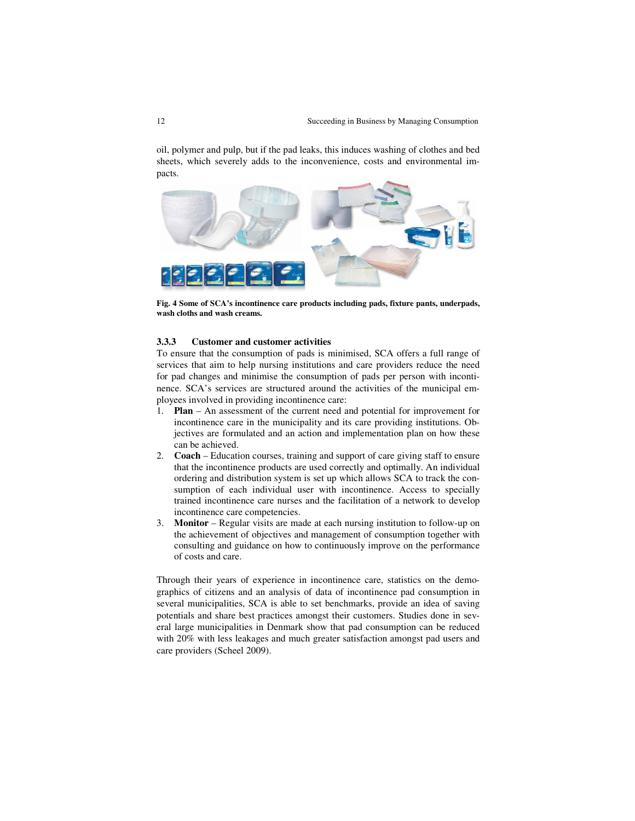oil, polymer and pulp, but if the pad leaks, this induces washing of clothes and bed sheets, which severely adds to the inconvenience, costs and environmental impacts.



**Fig. 4 Some of SCA's incontinence care products including pads, fixture pants, underpads, wash cloths and wash creams.** 

## **3.3.3 Customer and customer activities**

To ensure that the consumption of pads is minimised, SCA offers a full range of services that aim to help nursing institutions and care providers reduce the need for pad changes and minimise the consumption of pads per person with incontinence. SCA's services are structured around the activities of the municipal employees involved in providing incontinence care:

- 1. **Plan** An assessment of the current need and potential for improvement for incontinence care in the municipality and its care providing institutions. Objectives are formulated and an action and implementation plan on how these can be achieved.
- 2. **Coach** Education courses, training and support of care giving staff to ensure that the incontinence products are used correctly and optimally. An individual ordering and distribution system is set up which allows SCA to track the consumption of each individual user with incontinence. Access to specially trained incontinence care nurses and the facilitation of a network to develop incontinence care competencies.
- 3. **Monitor** Regular visits are made at each nursing institution to follow-up on the achievement of objectives and management of consumption together with consulting and guidance on how to continuously improve on the performance of costs and care.

Through their years of experience in incontinence care, statistics on the demographics of citizens and an analysis of data of incontinence pad consumption in several municipalities, SCA is able to set benchmarks, provide an idea of saving potentials and share best practices amongst their customers. Studies done in several large municipalities in Denmark show that pad consumption can be reduced with 20% with less leakages and much greater satisfaction amongst pad users and care providers (Scheel 2009).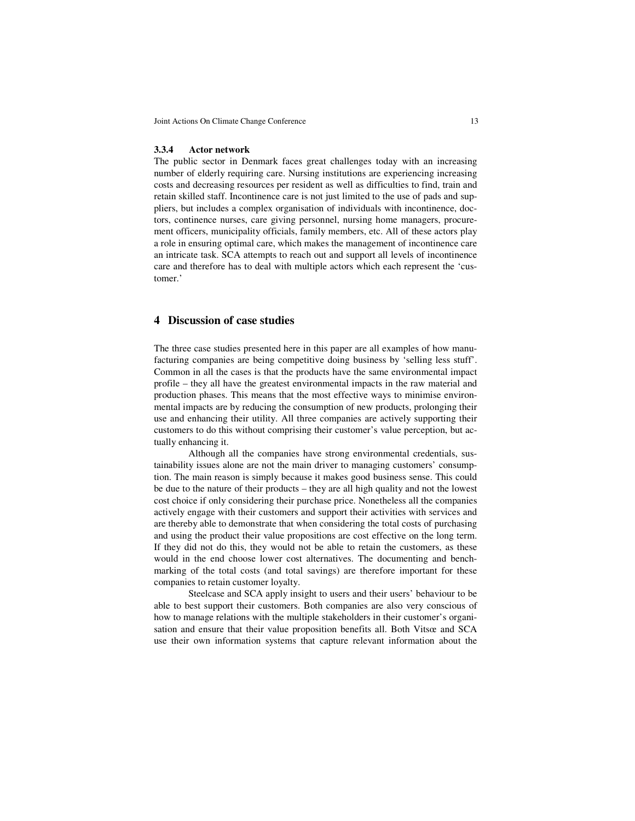#### **3.3.4 Actor network**

The public sector in Denmark faces great challenges today with an increasing number of elderly requiring care. Nursing institutions are experiencing increasing costs and decreasing resources per resident as well as difficulties to find, train and retain skilled staff. Incontinence care is not just limited to the use of pads and suppliers, but includes a complex organisation of individuals with incontinence, doctors, continence nurses, care giving personnel, nursing home managers, procurement officers, municipality officials, family members, etc. All of these actors play a role in ensuring optimal care, which makes the management of incontinence care an intricate task. SCA attempts to reach out and support all levels of incontinence care and therefore has to deal with multiple actors which each represent the 'customer.'

## **4 Discussion of case studies**

The three case studies presented here in this paper are all examples of how manufacturing companies are being competitive doing business by 'selling less stuff'. Common in all the cases is that the products have the same environmental impact profile – they all have the greatest environmental impacts in the raw material and production phases. This means that the most effective ways to minimise environmental impacts are by reducing the consumption of new products, prolonging their use and enhancing their utility. All three companies are actively supporting their customers to do this without comprising their customer's value perception, but actually enhancing it.

Although all the companies have strong environmental credentials, sustainability issues alone are not the main driver to managing customers' consumption. The main reason is simply because it makes good business sense. This could be due to the nature of their products – they are all high quality and not the lowest cost choice if only considering their purchase price. Nonetheless all the companies actively engage with their customers and support their activities with services and are thereby able to demonstrate that when considering the total costs of purchasing and using the product their value propositions are cost effective on the long term. If they did not do this, they would not be able to retain the customers, as these would in the end choose lower cost alternatives. The documenting and benchmarking of the total costs (and total savings) are therefore important for these companies to retain customer loyalty.

Steelcase and SCA apply insight to users and their users' behaviour to be able to best support their customers. Both companies are also very conscious of how to manage relations with the multiple stakeholders in their customer's organisation and ensure that their value proposition benefits all. Both Vitsœ and SCA use their own information systems that capture relevant information about the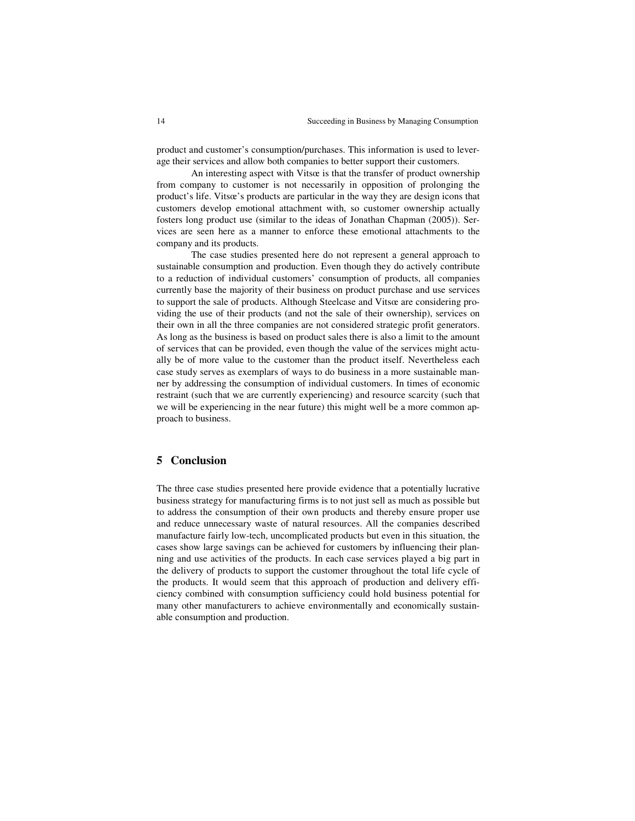product and customer's consumption/purchases. This information is used to leverage their services and allow both companies to better support their customers.

An interesting aspect with Vitsœ is that the transfer of product ownership from company to customer is not necessarily in opposition of prolonging the product's life. Vitsœ's products are particular in the way they are design icons that customers develop emotional attachment with, so customer ownership actually fosters long product use (similar to the ideas of Jonathan Chapman (2005)). Services are seen here as a manner to enforce these emotional attachments to the company and its products.

The case studies presented here do not represent a general approach to sustainable consumption and production. Even though they do actively contribute to a reduction of individual customers' consumption of products, all companies currently base the majority of their business on product purchase and use services to support the sale of products. Although Steelcase and Vitsœ are considering providing the use of their products (and not the sale of their ownership), services on their own in all the three companies are not considered strategic profit generators. As long as the business is based on product sales there is also a limit to the amount of services that can be provided, even though the value of the services might actually be of more value to the customer than the product itself. Nevertheless each case study serves as exemplars of ways to do business in a more sustainable manner by addressing the consumption of individual customers. In times of economic restraint (such that we are currently experiencing) and resource scarcity (such that we will be experiencing in the near future) this might well be a more common approach to business.

# **5 Conclusion**

The three case studies presented here provide evidence that a potentially lucrative business strategy for manufacturing firms is to not just sell as much as possible but to address the consumption of their own products and thereby ensure proper use and reduce unnecessary waste of natural resources. All the companies described manufacture fairly low-tech, uncomplicated products but even in this situation, the cases show large savings can be achieved for customers by influencing their planning and use activities of the products. In each case services played a big part in the delivery of products to support the customer throughout the total life cycle of the products. It would seem that this approach of production and delivery efficiency combined with consumption sufficiency could hold business potential for many other manufacturers to achieve environmentally and economically sustainable consumption and production.